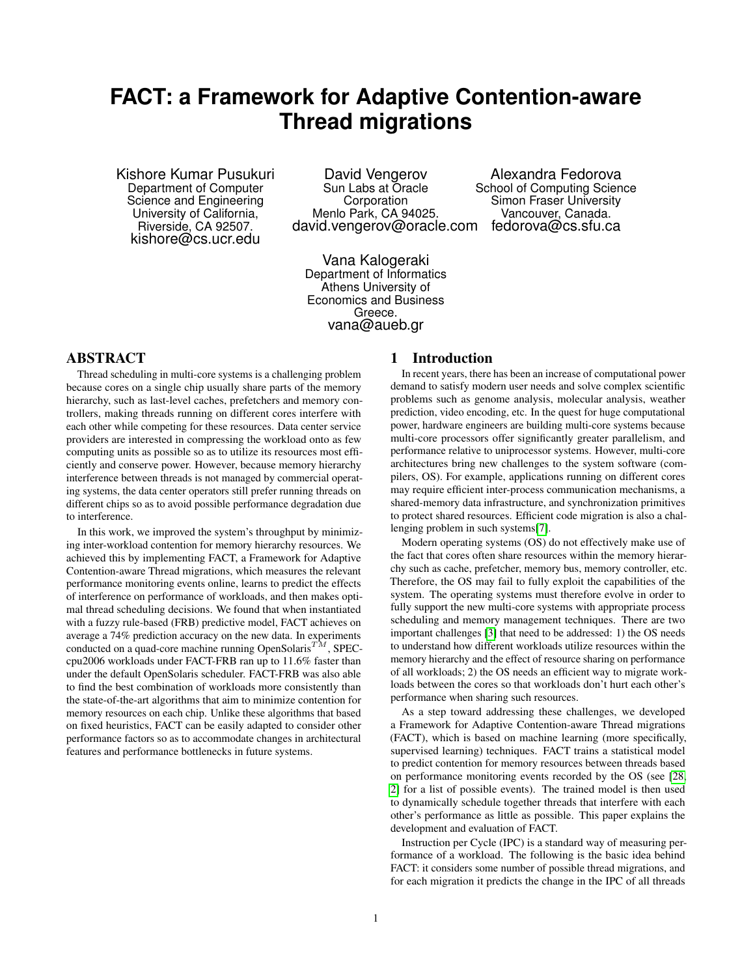# **FACT: a Framework for Adaptive Contention-aware Thread migrations**

Kishore Kumar Pusukuri Department of Computer Science and Engineering University of California, Riverside, CA 92507. kishore@cs.ucr.edu

David Vengerov Sun Labs at Oracle Corporation Menlo Park, CA 94025. david.vengerov@oracle.com fedorova@cs.sfu.ca

Alexandra Fedorova School of Computing Science Simon Fraser University Vancouver, Canada.

Vana Kalogeraki Department of Informatics Athens University of Economics and Business Greece. vana@aueb.gr

# ABSTRACT

Thread scheduling in multi-core systems is a challenging problem because cores on a single chip usually share parts of the memory hierarchy, such as last-level caches, prefetchers and memory controllers, making threads running on different cores interfere with each other while competing for these resources. Data center service providers are interested in compressing the workload onto as few computing units as possible so as to utilize its resources most efficiently and conserve power. However, because memory hierarchy interference between threads is not managed by commercial operating systems, the data center operators still prefer running threads on different chips so as to avoid possible performance degradation due to interference.

In this work, we improved the system's throughput by minimizing inter-workload contention for memory hierarchy resources. We achieved this by implementing FACT, a Framework for Adaptive Contention-aware Thread migrations, which measures the relevant performance monitoring events online, learns to predict the effects of interference on performance of workloads, and then makes optimal thread scheduling decisions. We found that when instantiated with a fuzzy rule-based (FRB) predictive model, FACT achieves on average a 74% prediction accuracy on the new data. In experiments conducted on a quad-core machine running OpenSolaris<sup>TM</sup>, SPECcpu2006 workloads under FACT-FRB ran up to 11.6% faster than under the default OpenSolaris scheduler. FACT-FRB was also able to find the best combination of workloads more consistently than the state-of-the-art algorithms that aim to minimize contention for memory resources on each chip. Unlike these algorithms that based on fixed heuristics, FACT can be easily adapted to consider other performance factors so as to accommodate changes in architectural features and performance bottlenecks in future systems.

## 1 Introduction

In recent years, there has been an increase of computational power demand to satisfy modern user needs and solve complex scientific problems such as genome analysis, molecular analysis, weather prediction, video encoding, etc. In the quest for huge computational power, hardware engineers are building multi-core systems because multi-core processors offer significantly greater parallelism, and performance relative to uniprocessor systems. However, multi-core architectures bring new challenges to the system software (compilers, OS). For example, applications running on different cores may require efficient inter-process communication mechanisms, a shared-memory data infrastructure, and synchronization primitives to protect shared resources. Efficient code migration is also a challenging problem in such systems[\[7\]](#page-9-0).

Modern operating systems (OS) do not effectively make use of the fact that cores often share resources within the memory hierarchy such as cache, prefetcher, memory bus, memory controller, etc. Therefore, the OS may fail to fully exploit the capabilities of the system. The operating systems must therefore evolve in order to fully support the new multi-core systems with appropriate process scheduling and memory management techniques. There are two important challenges [\[3\]](#page-9-1) that need to be addressed: 1) the OS needs to understand how different workloads utilize resources within the memory hierarchy and the effect of resource sharing on performance of all workloads; 2) the OS needs an efficient way to migrate workloads between the cores so that workloads don't hurt each other's performance when sharing such resources.

As a step toward addressing these challenges, we developed a Framework for Adaptive Contention-aware Thread migrations (FACT), which is based on machine learning (more specifically, supervised learning) techniques. FACT trains a statistical model to predict contention for memory resources between threads based on performance monitoring events recorded by the OS (see [\[28,](#page-9-2) [2\]](#page-9-3) for a list of possible events). The trained model is then used to dynamically schedule together threads that interfere with each other's performance as little as possible. This paper explains the development and evaluation of FACT.

Instruction per Cycle (IPC) is a standard way of measuring performance of a workload. The following is the basic idea behind FACT: it considers some number of possible thread migrations, and for each migration it predicts the change in the IPC of all threads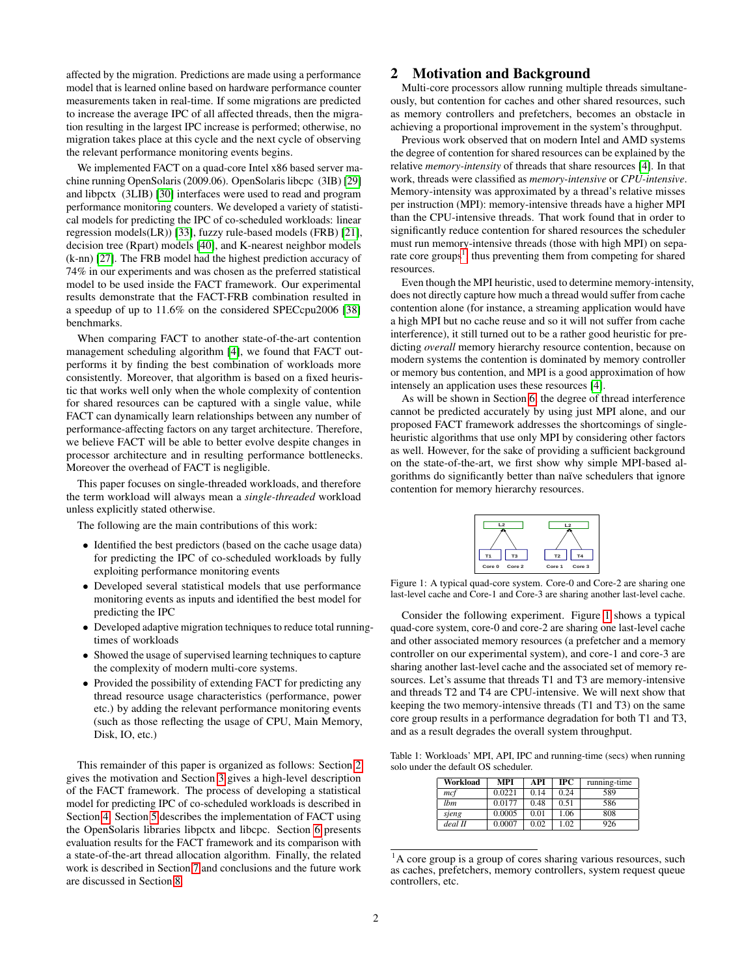affected by the migration. Predictions are made using a performance model that is learned online based on hardware performance counter measurements taken in real-time. If some migrations are predicted to increase the average IPC of all affected threads, then the migration resulting in the largest IPC increase is performed; otherwise, no migration takes place at this cycle and the next cycle of observing the relevant performance monitoring events begins.

We implemented FACT on a quad-core Intel x86 based server machine running OpenSolaris (2009.06). OpenSolaris libcpc (3IB) [\[29\]](#page-9-4) and libpctx (3LIB) [\[30\]](#page-9-5) interfaces were used to read and program performance monitoring counters. We developed a variety of statistical models for predicting the IPC of co-scheduled workloads: linear regression models(LR)) [\[33\]](#page-9-6), fuzzy rule-based models (FRB) [\[21\]](#page-9-7), decision tree (Rpart) models [\[40\]](#page-9-8), and K-nearest neighbor models (k-nn) [\[27\]](#page-9-9). The FRB model had the highest prediction accuracy of 74% in our experiments and was chosen as the preferred statistical model to be used inside the FACT framework. Our experimental results demonstrate that the FACT-FRB combination resulted in a speedup of up to 11.6% on the considered SPECcpu2006 [\[38\]](#page-9-10) benchmarks.

When comparing FACT to another state-of-the-art contention management scheduling algorithm [\[4\]](#page-9-11), we found that FACT outperforms it by finding the best combination of workloads more consistently. Moreover, that algorithm is based on a fixed heuristic that works well only when the whole complexity of contention for shared resources can be captured with a single value, while FACT can dynamically learn relationships between any number of performance-affecting factors on any target architecture. Therefore, we believe FACT will be able to better evolve despite changes in processor architecture and in resulting performance bottlenecks. Moreover the overhead of FACT is negligible.

This paper focuses on single-threaded workloads, and therefore the term workload will always mean a *single-threaded* workload unless explicitly stated otherwise.

The following are the main contributions of this work:

- Identified the best predictors (based on the cache usage data) for predicting the IPC of co-scheduled workloads by fully exploiting performance monitoring events
- Developed several statistical models that use performance monitoring events as inputs and identified the best model for predicting the IPC
- Developed adaptive migration techniques to reduce total runningtimes of workloads
- Showed the usage of supervised learning techniques to capture the complexity of modern multi-core systems.
- Provided the possibility of extending FACT for predicting any thread resource usage characteristics (performance, power etc.) by adding the relevant performance monitoring events (such as those reflecting the usage of CPU, Main Memory, Disk, IO, etc.)

This remainder of this paper is organized as follows: Section [2](#page-1-0) gives the motivation and Section [3](#page-2-0) gives a high-level description of the FACT framework. The process of developing a statistical model for predicting IPC of co-scheduled workloads is described in Section [4.](#page-3-0) Section [5](#page-5-0) describes the implementation of FACT using the OpenSolaris libraries libpctx and libcpc. Section [6](#page-6-0) presents evaluation results for the FACT framework and its comparison with a state-of-the-art thread allocation algorithm. Finally, the related work is described in Section [7](#page-8-0) and conclusions and the future work are discussed in Section [8.](#page-8-1)

# <span id="page-1-0"></span>2 Motivation and Background

Multi-core processors allow running multiple threads simultaneously, but contention for caches and other shared resources, such as memory controllers and prefetchers, becomes an obstacle in achieving a proportional improvement in the system's throughput.

Previous work observed that on modern Intel and AMD systems the degree of contention for shared resources can be explained by the relative *memory-intensity* of threads that share resources [\[4\]](#page-9-11). In that work, threads were classified as *memory-intensive* or *CPU-intensive*. Memory-intensity was approximated by a thread's relative misses per instruction (MPI): memory-intensive threads have a higher MPI than the CPU-intensive threads. That work found that in order to significantly reduce contention for shared resources the scheduler must run memory-intensive threads (those with high MPI) on sepa-rate core groups<sup>[1](#page-1-1)</sup>, thus preventing them from competing for shared resources.

Even though the MPI heuristic, used to determine memory-intensity, does not directly capture how much a thread would suffer from cache contention alone (for instance, a streaming application would have a high MPI but no cache reuse and so it will not suffer from cache interference), it still turned out to be a rather good heuristic for predicting *overall* memory hierarchy resource contention, because on modern systems the contention is dominated by memory controller or memory bus contention, and MPI is a good approximation of how intensely an application uses these resources [\[4\]](#page-9-11).

As will be shown in Section [6,](#page-6-0) the degree of thread interference cannot be predicted accurately by using just MPI alone, and our proposed FACT framework addresses the shortcomings of singleheuristic algorithms that use only MPI by considering other factors as well. However, for the sake of providing a sufficient background on the state-of-the-art, we first show why simple MPI-based algorithms do significantly better than naïve schedulers that ignore contention for memory hierarchy resources.



<span id="page-1-2"></span>Figure 1: A typical quad-core system. Core-0 and Core-2 are sharing one last-level cache and Core-1 and Core-3 are sharing another last-level cache.

Consider the following experiment. Figure [1](#page-1-2) shows a typical quad-core system, core-0 and core-2 are sharing one last-level cache and other associated memory resources (a prefetcher and a memory controller on our experimental system), and core-1 and core-3 are sharing another last-level cache and the associated set of memory resources. Let's assume that threads T1 and T3 are memory-intensive and threads T2 and T4 are CPU-intensive. We will next show that keeping the two memory-intensive threads (T1 and T3) on the same core group results in a performance degradation for both T1 and T3, and as a result degrades the overall system throughput.

<span id="page-1-3"></span>Table 1: Workloads' MPI, API, IPC and running-time (secs) when running solo under the default OS scheduler.

| Workload | MPI    | API  | <b>IPC</b> | running-time |
|----------|--------|------|------------|--------------|
| mcf      | 0.0221 | 0.14 | 0.24       | 589          |
| lbm      | 0.0177 | 0.48 | 0.51       | 586          |
| sjeng    | 0.0005 | 0.01 | 1.06       | 808          |
| deal II  | 0.0007 | 0.02 | 1.02       | 926          |

<span id="page-1-1"></span><sup>&</sup>lt;sup>1</sup>A core group is a group of cores sharing various resources, such as caches, prefetchers, memory controllers, system request queue controllers, etc.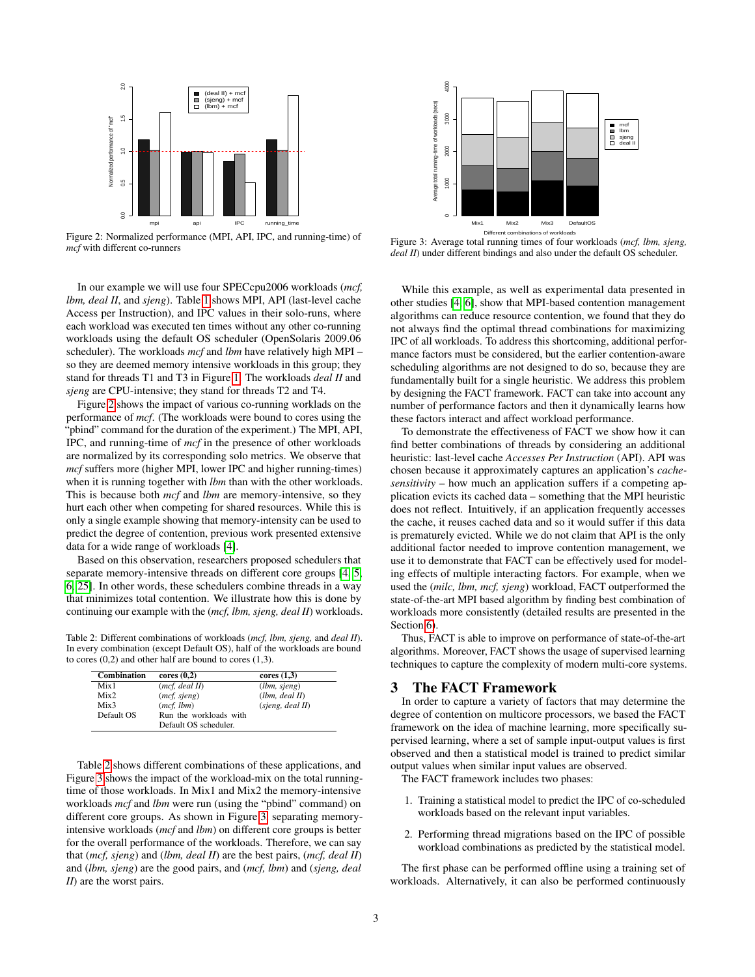<span id="page-2-1"></span>

Figure 2: Normalized performance (MPI, API, IPC, and running-time) of *mcf* with different co-runners

In our example we will use four SPECcpu2006 workloads (*mcf, lbm, deal II*, and *sjeng*). Table [1](#page-1-3) shows MPI, API (last-level cache Access per Instruction), and IPC values in their solo-runs, where each workload was executed ten times without any other co-running workloads using the default OS scheduler (OpenSolaris 2009.06 scheduler). The workloads *mcf* and *lbm* have relatively high MPI – so they are deemed memory intensive workloads in this group; they stand for threads T1 and T3 in Figure [1.](#page-1-2) The workloads *deal II* and *sjeng* are CPU-intensive; they stand for threads T2 and T4.

Figure [2](#page-2-1) shows the impact of various co-running worklads on the performance of *mcf*. (The workloads were bound to cores using the "pbind" command for the duration of the experiment.) The MPI, API, IPC, and running-time of *mcf* in the presence of other workloads are normalized by its corresponding solo metrics. We observe that *mcf* suffers more (higher MPI, lower IPC and higher running-times) when it is running together with *lbm* than with the other workloads. This is because both *mcf* and *lbm* are memory-intensive, so they hurt each other when competing for shared resources. While this is only a single example showing that memory-intensity can be used to predict the degree of contention, previous work presented extensive data for a wide range of workloads [\[4\]](#page-9-11).

Based on this observation, researchers proposed schedulers that separate memory-intensive threads on different core groups [\[4,](#page-9-11) [5,](#page-9-12) [6,](#page-9-13) [25\]](#page-9-14). In other words, these schedulers combine threads in a way that minimizes total contention. We illustrate how this is done by continuing our example with the (*mcf, lbm, sjeng, deal II*) workloads.

<span id="page-2-2"></span>Table 2: Different combinations of workloads (*mcf, lbm, sjeng,* and *deal II*). In every combination (except Default OS), half of the workloads are bound to cores (0,2) and other half are bound to cores (1,3).

| <b>Combination</b> | cores $(0,2)$          | cores $(1,3)$    |
|--------------------|------------------------|------------------|
| Mix1               | (mcf, deal II)         | (lbm, sjeng)     |
| Mix2               | (mcf, sjeng)           | (lbm, dead II)   |
| Mix3               | (mcf, lbm)             | (sjeng, deal II) |
| Default OS         | Run the workloads with |                  |
|                    | Default OS scheduler.  |                  |

Table [2](#page-2-2) shows different combinations of these applications, and Figure [3](#page-2-3) shows the impact of the workload-mix on the total runningtime of those workloads. In Mix1 and Mix2 the memory-intensive workloads *mcf* and *lbm* were run (using the "pbind" command) on different core groups. As shown in Figure [3,](#page-2-3) separating memoryintensive workloads (*mcf* and *lbm*) on different core groups is better for the overall performance of the workloads. Therefore, we can say that (*mcf, sjeng*) and (*lbm, deal II*) are the best pairs, (*mcf, deal II*) and (*lbm, sjeng*) are the good pairs, and (*mcf, lbm*) and (*sjeng, deal II*) are the worst pairs.

<span id="page-2-3"></span>

Figure 3: Average total running times of four workloads (*mcf, lbm, sjeng, deal II*) under different bindings and also under the default OS scheduler.

While this example, as well as experimental data presented in other studies [\[4,](#page-9-11) [6\]](#page-9-13), show that MPI-based contention management algorithms can reduce resource contention, we found that they do not always find the optimal thread combinations for maximizing IPC of all workloads. To address this shortcoming, additional performance factors must be considered, but the earlier contention-aware scheduling algorithms are not designed to do so, because they are fundamentally built for a single heuristic. We address this problem by designing the FACT framework. FACT can take into account any number of performance factors and then it dynamically learns how these factors interact and affect workload performance.

To demonstrate the effectiveness of FACT we show how it can find better combinations of threads by considering an additional heuristic: last-level cache *Accesses Per Instruction* (API). API was chosen because it approximately captures an application's *cachesensitivity* – how much an application suffers if a competing application evicts its cached data – something that the MPI heuristic does not reflect. Intuitively, if an application frequently accesses the cache, it reuses cached data and so it would suffer if this data is prematurely evicted. While we do not claim that API is the only additional factor needed to improve contention management, we use it to demonstrate that FACT can be effectively used for modeling effects of multiple interacting factors. For example, when we used the (*milc, lbm, mcf, sjeng*) workload, FACT outperformed the state-of-the-art MPI based algorithm by finding best combination of workloads more consistently (detailed results are presented in the Section [6\)](#page-6-0).

Thus, FACT is able to improve on performance of state-of-the-art algorithms. Moreover, FACT shows the usage of supervised learning techniques to capture the complexity of modern multi-core systems.

## <span id="page-2-0"></span>3 The FACT Framework

In order to capture a variety of factors that may determine the degree of contention on multicore processors, we based the FACT framework on the idea of machine learning, more specifically supervised learning, where a set of sample input-output values is first observed and then a statistical model is trained to predict similar output values when similar input values are observed.

The FACT framework includes two phases:

- 1. Training a statistical model to predict the IPC of co-scheduled workloads based on the relevant input variables.
- 2. Performing thread migrations based on the IPC of possible workload combinations as predicted by the statistical model.

The first phase can be performed offline using a training set of workloads. Alternatively, it can also be performed continuously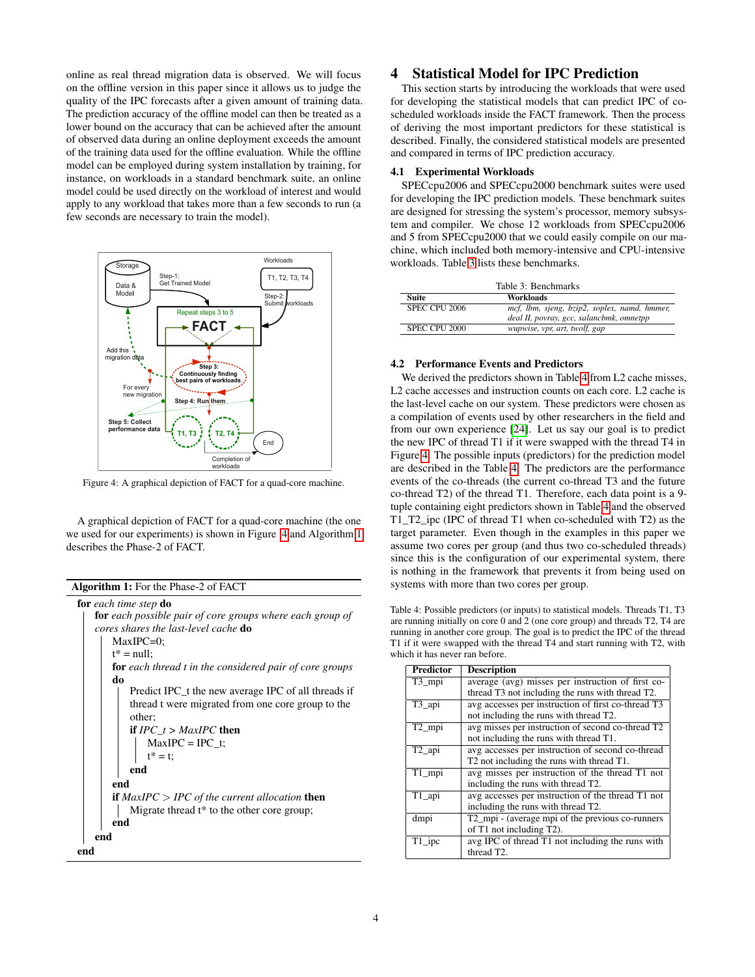online as real thread migration data is observed. We will focus on the offline version in this paper since it allows us to judge the quality of the IPC forecasts after a given amount of training data. The prediction accuracy of the offline model can then be treated as a lower bound on the accuracy that can be achieved after the amount of observed data during an online deployment exceeds the amount of the training data used for the offline evaluation. While the offline model can be employed during system installation by training, for instance, on workloads in a standard benchmark suite, an online model could be used directly on the workload of interest and would apply to any workload that takes more than a few seconds to run (a few seconds are necessary to train the model).

<span id="page-3-1"></span>

Figure 4: A graphical depiction of FACT for a quad-core machine.

A graphical depiction of FACT for a quad-core machine (the one we used for our experiments) is shown in Figure [4](#page-3-1) and Algorithm [1](#page-3-2) describes the Phase-2 of FACT.

<span id="page-3-2"></span>Algorithm 1: For the Phase-2 of FACT for *each time step* do for *each possible pair of core groups where each group of cores shares the last-level cache* do MaxIPC=0;  $t^* = null$ : for *each thread t in the considered pair of core groups* do Predict IPC\_t the new average IPC of all threads if thread t were migrated from one core group to the other; if *IPC\_t > MaxIPC* then  $MaxIPC = IPC_t;$  $t^* = t$ : end end if *MaxIPC* > *IPC of the current allocation* then Migrate thread t\* to the other core group; end end end

# <span id="page-3-0"></span>4 Statistical Model for IPC Prediction

This section starts by introducing the workloads that were used for developing the statistical models that can predict IPC of coscheduled workloads inside the FACT framework. Then the process of deriving the most important predictors for these statistical is described. Finally, the considered statistical models are presented and compared in terms of IPC prediction accuracy.

### 4.1 Experimental Workloads

SPECcpu2006 and SPECcpu2000 benchmark suites were used for developing the IPC prediction models. These benchmark suites are designed for stressing the system's processor, memory subsystem and compiler. We chose 12 workloads from SPECcpu2006 and 5 from SPECcpu2000 that we could easily compile on our machine, which included both memory-intensive and CPU-intensive workloads. Table [3](#page-3-3) lists these benchmarks.

<span id="page-3-3"></span>

| Table 3: Benchmarks |                                              |  |  |
|---------------------|----------------------------------------------|--|--|
| Suite               | Workloads                                    |  |  |
| SPEC CPU 2006       | mcf, lbm, sjeng, bzip2, soplex, namd, hmmer, |  |  |
|                     | deal II, povray, gcc, xalancbmk, omnetpp     |  |  |
| SPEC CPU 2000       | wupwise, vpr, art, twolf, gap                |  |  |
|                     |                                              |  |  |

#### <span id="page-3-5"></span>4.2 Performance Events and Predictors

We derived the predictors shown in Table [4](#page-3-4) from L2 cache misses, L2 cache accesses and instruction counts on each core. L2 cache is the last-level cache on our system. These predictors were chosen as a compilation of events used by other researchers in the field and from our own experience [\[24\]](#page-9-15). Let us say our goal is to predict the new IPC of thread T1 if it were swapped with the thread T4 in Figure [4.](#page-3-1) The possible inputs (predictors) for the prediction model are described in the Table [4.](#page-3-4) The predictors are the performance events of the co-threads (the current co-thread T3 and the future co-thread T2) of the thread T1. Therefore, each data point is a 9 tuple containing eight predictors shown in Table [4](#page-3-4) and the observed T1\_T2\_ipc (IPC of thread T1 when co-scheduled with T2) as the target parameter. Even though in the examples in this paper we assume two cores per group (and thus two co-scheduled threads) since this is the configuration of our experimental system, there is nothing in the framework that prevents it from being used on systems with more than two cores per group.

<span id="page-3-4"></span>Table 4: Possible predictors (or inputs) to statistical models. Threads T1, T3 are running initially on core 0 and 2 (one core group) and threads T2, T4 are running in another core group. The goal is to predict the IPC of the thread T1 if it were swapped with the thread T4 and start running with T2, with which it has never ran before.

| <b>Predictor</b>   | <b>Description</b>                                                 |
|--------------------|--------------------------------------------------------------------|
| T3_mpi             | average (avg) misses per instruction of first co-                  |
|                    | thread T3 not including the runs with thread T2.                   |
| T3_api             | avg accesses per instruction of first co-thread T3                 |
|                    | not including the runs with thread T2.                             |
| T <sub>2_mpi</sub> | avg misses per instruction of second co-thread T2                  |
|                    | not including the runs with thread T1.                             |
| T <sub>2_api</sub> | avg accesses per instruction of second co-thread                   |
|                    | T <sub>2</sub> not including the runs with thread T <sub>1</sub> . |
| T1_mpi             | avg misses per instruction of the thread T1 not                    |
|                    | including the runs with thread T2.                                 |
| $T1$ _api          | avg accesses per instruction of the thread T1 not                  |
|                    | including the runs with thread T2.                                 |
| dmpi               | T2_mpi - (average mpi of the previous co-runners                   |
|                    | of $T1$ not including $T2$ ).                                      |
| $T1$ _ipc          | avg IPC of thread T1 not including the runs with                   |
|                    | thread T <sub>2</sub> .                                            |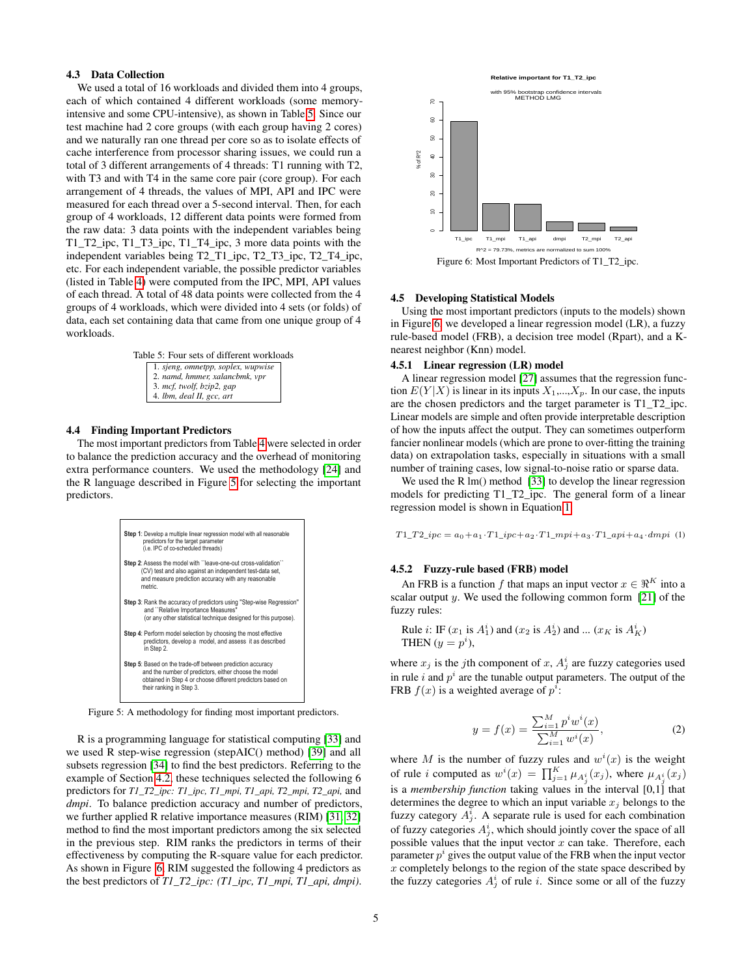## <span id="page-4-5"></span>4.3 Data Collection

We used a total of 16 workloads and divided them into 4 groups, each of which contained 4 different workloads (some memoryintensive and some CPU-intensive), as shown in Table [5.](#page-4-0) Since our test machine had 2 core groups (with each group having 2 cores) and we naturally ran one thread per core so as to isolate effects of cache interference from processor sharing issues, we could run a total of 3 different arrangements of 4 threads: T1 running with T2, with T3 and with T4 in the same core pair (core group). For each arrangement of 4 threads, the values of MPI, API and IPC were measured for each thread over a 5-second interval. Then, for each group of 4 workloads, 12 different data points were formed from the raw data: 3 data points with the independent variables being T1\_T2\_ipc, T1\_T3\_ipc, T1\_T4\_ipc, 3 more data points with the independent variables being T2\_T1\_ipc, T2\_T3\_ipc, T2\_T4\_ipc, etc. For each independent variable, the possible predictor variables (listed in Table [4\)](#page-3-4) were computed from the IPC, MPI, API values of each thread. A total of 48 data points were collected from the 4 groups of 4 workloads, which were divided into 4 sets (or folds) of data, each set containing data that came from one unique group of 4 workloads.

<span id="page-4-0"></span>

|  |  | Table 5: Four sets of different workloads |  |
|--|--|-------------------------------------------|--|
|  |  |                                           |  |

| 1. sjeng, omnetpp, soplex, wupwise |
|------------------------------------|
| 2. namd, hmmer, xalancbmk, vpr     |
| 3. mcf, twolf, bzip2, gap          |
| 4. lbm, deal II, gcc, art          |

#### <span id="page-4-6"></span>4.4 Finding Important Predictors

The most important predictors from Table [4](#page-3-4) were selected in order to balance the prediction accuracy and the overhead of monitoring extra performance counters. We used the methodology [\[24\]](#page-9-15) and the R language described in Figure [5](#page-4-1) for selecting the important predictors.

<span id="page-4-1"></span>

| Step 1: Develop a multiple linear regression model with all reasonable<br>predictors for the target parameter<br>(i.e. IPC of co-scheduled threads)                                                           |  |
|---------------------------------------------------------------------------------------------------------------------------------------------------------------------------------------------------------------|--|
| Step 2: Assess the model with "leave-one-out cross-validation"<br>(CV) test and also against an independent test-data set,<br>and measure prediction accuracy with any reasonable<br>metric.                  |  |
| Step 3: Rank the accuracy of predictors using "Step-wise Regression"<br>and "Relative Importance Measures"<br>(or any other statistical technique designed for this purpose).                                 |  |
| Step 4: Perform model selection by choosing the most effective<br>predictors, develop a model, and assess it as described<br>in Step 2.                                                                       |  |
| Step 5: Based on the trade-off between prediction accuracy<br>and the number of predictors, either choose the model<br>obtained in Step 4 or choose different predictors based on<br>their ranking in Step 3. |  |

Figure 5: A methodology for finding most important predictors.

 predictors for *T1\_T2\_ipc: T1\_ipc, T1\_mpi, T1\_api, T2\_mpi, T2\_api,* and R is a programming language for statistical computing [\[33\]](#page-9-6) and we used R step-wise regression (stepAIC() method) [\[39\]](#page-9-16) and all subsets regression [\[34\]](#page-9-17) to find the best predictors. Referring to the example of Section [4.2,](#page-3-5) these techniques selected the following 6 *dmpi*. To balance prediction accuracy and number of predictors, we further applied R relative importance measures (RIM) [\[31,](#page-9-18) [32\]](#page-9-19) method to find the most important predictors among the six selected in the previous step. RIM ranks the predictors in terms of their effectiveness by computing the R-square value for each predictor. As shown in Figure [6,](#page-4-2) RIM suggested the following 4 predictors as the best predictors of *T1\_T2\_ipc: (T1\_ipc, T1\_mpi, T1\_api, dmpi)*.

<span id="page-4-2"></span>

<span id="page-4-4"></span>4.5 Developing Statistical Models

Using the most important predictors (inputs to the models) shown in Figure [6,](#page-4-2) we developed a linear regression model (LR), a fuzzy rule-based model (FRB), a decision tree model (Rpart), and a Knearest neighbor (Knn) model.

## 4.5.1 Linear regression (LR) model

A linear regression model [\[27\]](#page-9-9) assumes that the regression function  $E(Y|X)$  is linear in its inputs  $X_1,...,X_p$ . In our case, the inputs are the chosen predictors and the target parameter is T1\_T2\_ipc. Linear models are simple and often provide interpretable description of how the inputs affect the output. They can sometimes outperform fancier nonlinear models (which are prone to over-fitting the training data) on extrapolation tasks, especially in situations with a small number of training cases, low signal-to-noise ratio or sparse data.

We used the R lm() method [\[33\]](#page-9-6) to develop the linear regression models for predicting T1\_T2\_ipc. The general form of a linear regression model is shown in Equation [1.](#page-4-3)

<span id="page-4-3"></span>
$$
T1\_T2\_ipc = a_0 + a_1 \cdot T1\_ipc + a_2 \cdot T1\_mpi + a_3 \cdot T1\_api + a_4 \cdot dmpi \hspace{0.1cm} (1)
$$

## 4.5.2 Fuzzy-rule based (FRB) model

An FRB is a function f that maps an input vector  $x \in \mathbb{R}^K$  into a scalar output y. We used the following common form  $[21]$  of the fuzzy rules:

Rule *i*: IF 
$$
(x_1 \text{ is } A_1^i)
$$
 and  $(x_2 \text{ is } A_2^i)$  and ...  $(x_K \text{ is } A_K^i)$   
THEN  $(y = p^i)$ ,

where  $x_j$  is the jth component of x,  $A_j^i$  are fuzzy categories used in rule i and  $p^i$  are the tunable output parameters. The output of the FRB  $f(x)$  is a weighted average of  $p^i$ :

$$
y = f(x) = \frac{\sum_{i=1}^{M} p^i w^i(x)}{\sum_{i=1}^{M} w^i(x)},
$$
\n(2)

where M is the number of fuzzy rules and  $w^{i}(x)$  is the weight of rule *i* computed as  $w^{i}(x) = \prod_{j=1}^{K} \mu_{A_{j}^{i}}(x_{j})$ , where  $\mu_{A_{j}^{i}}(x_{j})$ is a *membership function* taking values in the interval [0,1] that determines the degree to which an input variable  $x_i$  belongs to the fuzzy category  $A_j^i$ . A separate rule is used for each combination of fuzzy categories  $A_j^i$ , which should jointly cover the space of all possible values that the input vector  $x$  can take. Therefore, each parameter  $p^i$  gives the output value of the FRB when the input vector x completely belongs to the region of the state space described by the fuzzy categories  $A_j^i$  of rule *i*. Since some or all of the fuzzy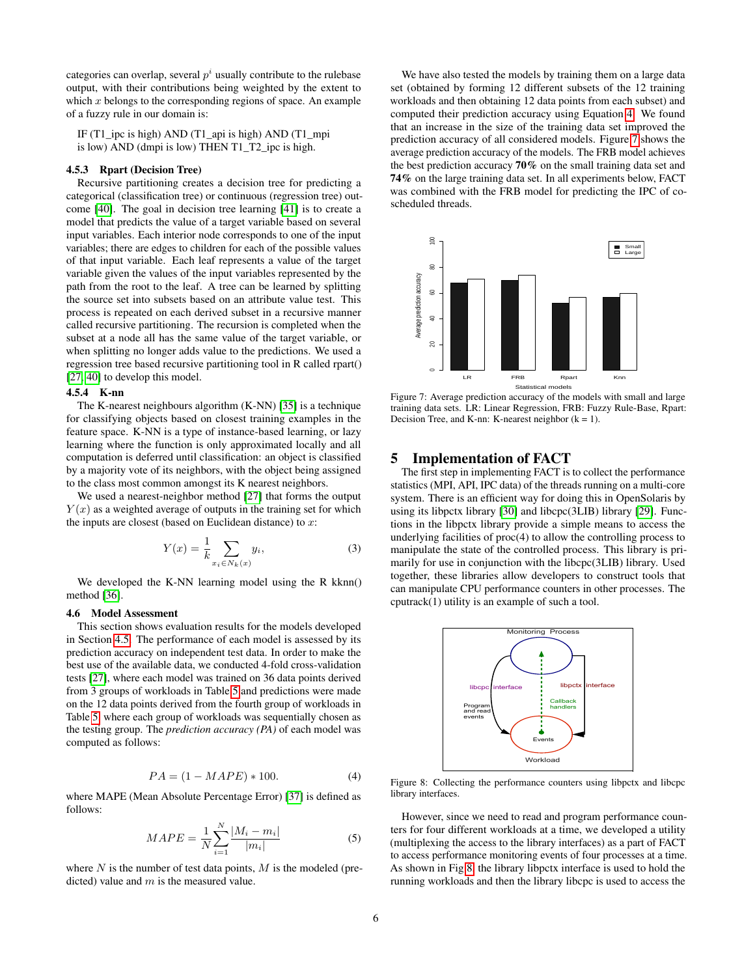categories can overlap, several  $p^i$  usually contribute to the rulebase output, with their contributions being weighted by the extent to which  $x$  belongs to the corresponding regions of space. An example of a fuzzy rule in our domain is:

IF (T1\_ipc is high) AND (T1\_api is high) AND (T1\_mpi is low) AND (dmpi is low) THEN T1\_T2\_ipc is high.

## 4.5.3 Rpart (Decision Tree)

Recursive partitioning creates a decision tree for predicting a categorical (classification tree) or continuous (regression tree) outcome [\[40\]](#page-9-8). The goal in decision tree learning [\[41\]](#page-9-20) is to create a model that predicts the value of a target variable based on several input variables. Each interior node corresponds to one of the input variables; there are edges to children for each of the possible values of that input variable. Each leaf represents a value of the target variable given the values of the input variables represented by the path from the root to the leaf. A tree can be learned by splitting the source set into subsets based on an attribute value test. This process is repeated on each derived subset in a recursive manner called recursive partitioning. The recursion is completed when the subset at a node all has the same value of the target variable, or when splitting no longer adds value to the predictions. We used a regression tree based recursive partitioning tool in R called rpart() [\[27,](#page-9-9) [40\]](#page-9-8) to develop this model.

## 4.5.4 K-nn

The K-nearest neighbours algorithm (K-NN) [\[35\]](#page-9-21) is a technique for classifying objects based on closest training examples in the feature space. K-NN is a type of instance-based learning, or lazy learning where the function is only approximated locally and all computation is deferred until classification: an object is classified by a majority vote of its neighbors, with the object being assigned to the class most common amongst its K nearest neighbors.

We used a nearest-neighbor method [\[27\]](#page-9-9) that forms the output  $Y(x)$  as a weighted average of outputs in the training set for which the inputs are closest (based on Euclidean distance) to  $x$ :

$$
Y(x) = \frac{1}{k} \sum_{x_i \in N_k(x)} y_i,
$$
\n(3)

We developed the K-NN learning model using the R kknn() method [\[36\]](#page-9-22).

#### <span id="page-5-4"></span>4.6 Model Assessment

This section shows evaluation results for the models developed in Section [4.5.](#page-4-4) The performance of each model is assessed by its prediction accuracy on independent test data. In order to make the best use of the available data, we conducted 4-fold cross-validation tests [\[27\]](#page-9-9), where each model was trained on 36 data points derived from 3 groups of workloads in Table [5](#page-4-0) and predictions were made on the 12 data points derived from the fourth group of workloads in Table [5,](#page-4-0) where each group of workloads was sequentially chosen as the testing group. The *prediction accuracy (PA)* of each model was computed as follows:

<span id="page-5-1"></span>
$$
PA = (1 - MAPE) * 100.
$$
\n<sup>(4)</sup>

where MAPE (Mean Absolute Percentage Error) [\[37\]](#page-9-23) is defined as follows:

$$
MAPE = \frac{1}{N} \sum_{i=1}^{N} \frac{|M_i - m_i|}{|m_i|}
$$
 (5)

where  $N$  is the number of test data points,  $M$  is the modeled (predicted) value and  $m$  is the measured value.

We have also tested the models by training them on a large data set (obtained by forming 12 different subsets of the 12 training workloads and then obtaining 12 data points from each subset) and computed their prediction accuracy using Equation [4.](#page-5-1) We found that an increase in the size of the training data set improved the prediction accuracy of all considered models. Figure [7](#page-5-2) shows the average prediction accuracy of the models. The FRB model achieves the best prediction accuracy 70% on the small training data set and 74% on the large training data set. In all experiments below, FACT was combined with the FRB model for predicting the IPC of coscheduled threads.

<span id="page-5-2"></span>

Figure 7: Average prediction accuracy of the models with small and large training data sets. LR: Linear Regression, FRB: Fuzzy Rule-Base, Rpart: Decision Tree, and K-nn: K-nearest neighbor  $(k = 1)$ .

## <span id="page-5-0"></span>5 Implementation of FACT

The first step in implementing FACT is to collect the performance statistics (MPI, API, IPC data) of the threads running on a multi-core system. There is an efficient way for doing this in OpenSolaris by using its libpctx library [\[30\]](#page-9-5) and libcpc(3LIB) library [\[29\]](#page-9-4). Functions in the libpctx library provide a simple means to access the underlying facilities of proc(4) to allow the controlling process to manipulate the state of the controlled process. This library is primarily for use in conjunction with the libcpc(3LIB) library. Used together, these libraries allow developers to construct tools that can manipulate CPU performance counters in other processes. The cputrack(1) utility is an example of such a tool.

<span id="page-5-3"></span>

Figure 8: Collecting the performance counters using libpctx and libcpc library interfaces.

However, since we need to read and program performance counters for four different workloads at a time, we developed a utility (multiplexing the access to the library interfaces) as a part of FACT to access performance monitoring events of four processes at a time. As shown in Fig [8,](#page-5-3) the library libpctx interface is used to hold the running workloads and then the library libcpc is used to access the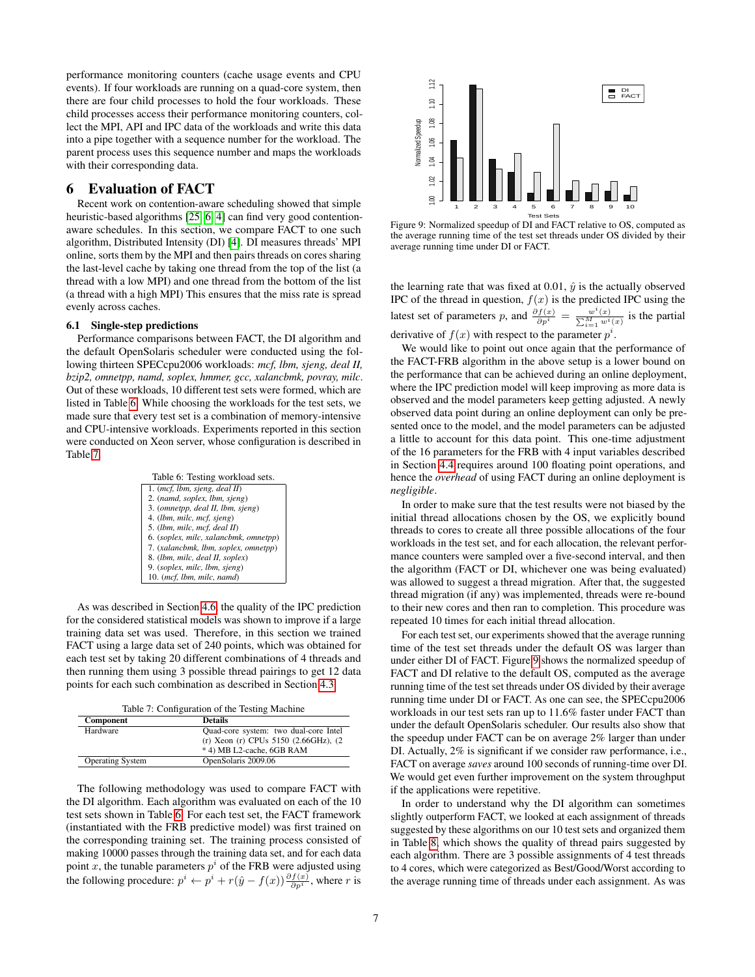performance monitoring counters (cache usage events and CPU events). If four workloads are running on a quad-core system, then there are four child processes to hold the four workloads. These child processes access their performance monitoring counters, collect the MPI, API and IPC data of the workloads and write this data into a pipe together with a sequence number for the workload. The parent process uses this sequence number and maps the workloads with their corresponding data.

# <span id="page-6-0"></span>6 Evaluation of FACT

Recent work on contention-aware scheduling showed that simple heuristic-based algorithms [\[25,](#page-9-14) [6,](#page-9-13) [4\]](#page-9-11) can find very good contentionaware schedules. In this section, we compare FACT to one such algorithm, Distributed Intensity (DI) [\[4\]](#page-9-11). DI measures threads' MPI online, sorts them by the MPI and then pairs threads on cores sharing the last-level cache by taking one thread from the top of the list (a thread with a low MPI) and one thread from the bottom of the list (a thread with a high MPI) This ensures that the miss rate is spread evenly across caches.

#### <span id="page-6-4"></span>6.1 Single-step predictions

Performance comparisons between FACT, the DI algorithm and the default OpenSolaris scheduler were conducted using the following thirteen SPECcpu2006 workloads: *mcf, lbm, sjeng, deal II, bzip2, omnetpp, namd, soplex, hmmer, gcc, xalancbmk, povray, milc*. Out of these workloads, 10 different test sets were formed, which are listed in Table [6.](#page-6-1) While choosing the workloads for the test sets, we made sure that every test set is a combination of memory-intensive and CPU-intensive workloads. Experiments reported in this section were conducted on Xeon server, whose configuration is described in Table [7.](#page-6-2)

<span id="page-6-1"></span>

| Table 6: Testing workload sets.       |
|---------------------------------------|
| 1. $(mc\bar{f}, lbm, sjeng, deal II)$ |
| 2. (namd, soplex, lbm, sjeng)         |
| 3. (omnetpp, deal II, lbm, sjeng)     |
| 4. (lbm, milc, mcf, sieng)            |
| 5. (lbm, milc, mcf, deal II)          |
| 6. (soplex, milc, xalancbmk, omnetpp) |
| 7. (xalancbmk, lbm, soplex, omnetpp)  |
| 8. (lbm, milc, deal II, soplex)       |
| 9. (soplex, milc, lbm, sjeng)         |
| 10. (mcf, lbm, milc, namd)            |

As was described in Section [4.6,](#page-5-4) the quality of the IPC prediction for the considered statistical models was shown to improve if a large training data set was used. Therefore, in this section we trained FACT using a large data set of 240 points, which was obtained for each test set by taking 20 different combinations of 4 threads and then running them using 3 possible thread pairings to get 12 data points for each such combination as described in Section [4.3.](#page-4-5)

Table 7: Configuration of the Testing Machine

<span id="page-6-2"></span>

| <b>Component</b>        | <b>Details</b>                        |
|-------------------------|---------------------------------------|
| Hardware                | Quad-core system: two dual-core Intel |
|                         | (r) Xeon (r) CPUs 5150 (2.66GHz), (2) |
|                         | * 4) MB L2-cache, 6GB RAM             |
| <b>Operating System</b> | OpenSolaris 2009.06                   |
|                         |                                       |

The following methodology was used to compare FACT with the DI algorithm. Each algorithm was evaluated on each of the 10 test sets shown in Table [6.](#page-6-1) For each test set, the FACT framework (instantiated with the FRB predictive model) was first trained on the corresponding training set. The training process consisted of making 10000 passes through the training data set, and for each data point x, the tunable parameters  $p^i$  of the FRB were adjusted using the following procedure:  $p^i \leftarrow p^i + r(\hat{y} - f(x)) \frac{\partial f(x)}{\partial p^i}$ , where r is

<span id="page-6-3"></span>

Test Sets Figure 9: Normalized speedup of DI and FACT relative to OS, computed as the average running time of the test set threads under OS divided by their average running time under DI or FACT.

the learning rate that was fixed at 0.01,  $\hat{y}$  is the actually observed IPC of the thread in question,  $f(x)$  is the predicted IPC using the latest set of parameters p, and  $\frac{\partial f(x)}{\partial p^i} = \frac{w^i(x)}{\sum_{i=1}^M w^i(x)}$  is the partial derivative of  $f(x)$  with respect to the parameter  $p^i$ .

We would like to point out once again that the performance of the FACT-FRB algorithm in the above setup is a lower bound on the performance that can be achieved during an online deployment, where the IPC prediction model will keep improving as more data is observed and the model parameters keep getting adjusted. A newly observed data point during an online deployment can only be presented once to the model, and the model parameters can be adjusted a little to account for this data point. This one-time adjustment of the 16 parameters for the FRB with 4 input variables described in Section [4.4](#page-4-6) requires around 100 floating point operations, and hence the *overhead* of using FACT during an online deployment is *negligible*.

In order to make sure that the test results were not biased by the initial thread allocations chosen by the OS, we explicitly bound threads to cores to create all three possible allocations of the four workloads in the test set, and for each allocation, the relevant performance counters were sampled over a five-second interval, and then the algorithm (FACT or DI, whichever one was being evaluated) was allowed to suggest a thread migration. After that, the suggested thread migration (if any) was implemented, threads were re-bound to their new cores and then ran to completion. This procedure was repeated 10 times for each initial thread allocation.

For each test set, our experiments showed that the average running time of the test set threads under the default OS was larger than under either DI of FACT. Figure [9](#page-6-3) shows the normalized speedup of FACT and DI relative to the default OS, computed as the average running time of the test set threads under OS divided by their average running time under DI or FACT. As one can see, the SPECcpu2006 workloads in our test sets ran up to 11.6% faster under FACT than under the default OpenSolaris scheduler. Our results also show that the speedup under FACT can be on average 2% larger than under DI. Actually, 2% is significant if we consider raw performance, i.e., FACT on average *saves* around 100 seconds of running-time over DI. We would get even further improvement on the system throughput if the applications were repetitive.

In order to understand why the DI algorithm can sometimes slightly outperform FACT, we looked at each assignment of threads suggested by these algorithms on our 10 test sets and organized them in Table [8,](#page-7-0) which shows the quality of thread pairs suggested by each algorithm. There are 3 possible assignments of 4 test threads to 4 cores, which were categorized as Best/Good/Worst according to the average running time of threads under each assignment. As was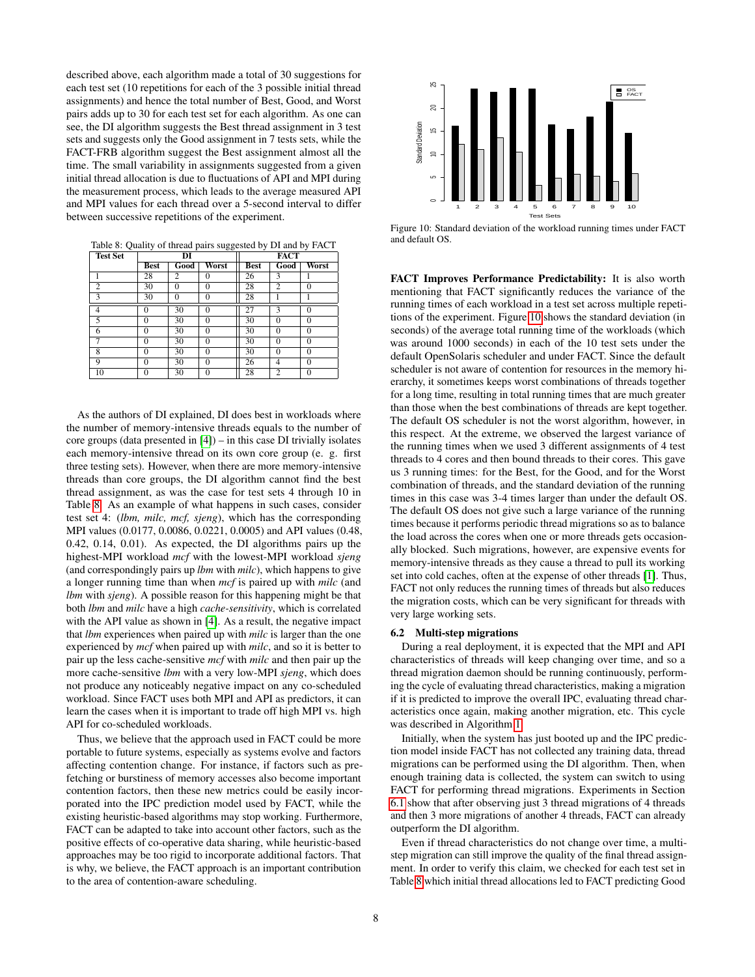described above, each algorithm made a total of 30 suggestions for each test set (10 repetitions for each of the 3 possible initial thread assignments) and hence the total number of Best, Good, and Worst pairs adds up to 30 for each test set for each algorithm. As one can see, the DI algorithm suggests the Best thread assignment in 3 test sets and suggests only the Good assignment in 7 tests sets, while the FACT-FRB algorithm suggest the Best assignment almost all the time. The small variability in assignments suggested from a given initial thread allocation is due to fluctuations of API and MPI during the measurement process, which leads to the average measured API and MPI values for each thread over a 5-second interval to differ between successive repetitions of the experiment.

<span id="page-7-0"></span>Table 8: Quality of thread pairs suggested by DI and by FACT

| <b>Test Set</b>          | DI          |                            |          | <b>FACT</b> |                |          |
|--------------------------|-------------|----------------------------|----------|-------------|----------------|----------|
|                          | <b>Best</b> | $\overline{\mathbf{Good}}$ | Worst    | <b>Best</b> | Good           | Worst    |
|                          | 28          | C                          | $\Omega$ | 26          | 3              |          |
| $\overline{c}$           | 30          | 0                          | $\theta$ | 28          | $\overline{c}$ | $\theta$ |
| ٩                        | 30          | 0                          | $\theta$ | 28          |                |          |
|                          | 0           | 30                         | $\theta$ | 27          | 3              | $\theta$ |
| $\overline{\phantom{0}}$ | $\Omega$    | 30                         | $\theta$ | 30          | $\Omega$       | $\Omega$ |
| 6                        | $\theta$    | 30                         | $\theta$ | 30          | $\Omega$       | $\Omega$ |
|                          | $\Omega$    | 30                         | $\theta$ | 30          | $\Omega$       | $\theta$ |
| 8                        | $\Omega$    | 30                         | $\theta$ | 30          | $\Omega$       | $\theta$ |
| q                        | 0           | 30                         | $\theta$ | 26          | 4              | $\theta$ |
| 10                       | $\Omega$    | 30                         | $\Omega$ | 28          | $\mathfrak{D}$ | $\theta$ |

As the authors of DI explained, DI does best in workloads where the number of memory-intensive threads equals to the number of core groups (data presented in [\[4\]](#page-9-11)) – in this case DI trivially isolates each memory-intensive thread on its own core group (e. g. first three testing sets). However, when there are more memory-intensive threads than core groups, the DI algorithm cannot find the best thread assignment, as was the case for test sets 4 through 10 in Table [8.](#page-7-0) As an example of what happens in such cases, consider test set 4: (*lbm, milc, mcf, sjeng*), which has the corresponding MPI values (0.0177, 0.0086, 0.0221, 0.0005) and API values (0.48, 0.42, 0.14, 0.01). As expected, the DI algorithms pairs up the highest-MPI workload *mcf* with the lowest-MPI workload *sjeng* (and correspondingly pairs up *lbm* with *milc*), which happens to give a longer running time than when *mcf* is paired up with *milc* (and *lbm* with *sjeng*). A possible reason for this happening might be that both *lbm* and *milc* have a high *cache-sensitivity*, which is correlated with the API value as shown in [\[4\]](#page-9-11). As a result, the negative impact that *lbm* experiences when paired up with *milc* is larger than the one experienced by *mcf* when paired up with *milc*, and so it is better to pair up the less cache-sensitive *mcf* with *milc* and then pair up the more cache-sensitive *lbm* with a very low-MPI *sjeng*, which does not produce any noticeably negative impact on any co-scheduled workload. Since FACT uses both MPI and API as predictors, it can learn the cases when it is important to trade off high MPI vs. high API for co-scheduled workloads.

Thus, we believe that the approach used in FACT could be more portable to future systems, especially as systems evolve and factors affecting contention change. For instance, if factors such as prefetching or burstiness of memory accesses also become important contention factors, then these new metrics could be easily incorporated into the IPC prediction model used by FACT, while the existing heuristic-based algorithms may stop working. Furthermore, FACT can be adapted to take into account other factors, such as the positive effects of co-operative data sharing, while heuristic-based approaches may be too rigid to incorporate additional factors. That is why, we believe, the FACT approach is an important contribution to the area of contention-aware scheduling.

<span id="page-7-1"></span>

Figure 10: Standard deviation of the workload running times under FACT and default OS.

FACT Improves Performance Predictability: It is also worth mentioning that FACT significantly reduces the variance of the running times of each workload in a test set across multiple repetitions of the experiment. Figure [10](#page-7-1) shows the standard deviation (in seconds) of the average total running time of the workloads (which was around 1000 seconds) in each of the 10 test sets under the default OpenSolaris scheduler and under FACT. Since the default scheduler is not aware of contention for resources in the memory hierarchy, it sometimes keeps worst combinations of threads together for a long time, resulting in total running times that are much greater than those when the best combinations of threads are kept together. The default OS scheduler is not the worst algorithm, however, in this respect. At the extreme, we observed the largest variance of the running times when we used 3 different assignments of 4 test threads to 4 cores and then bound threads to their cores. This gave us 3 running times: for the Best, for the Good, and for the Worst combination of threads, and the standard deviation of the running times in this case was 3-4 times larger than under the default OS. The default OS does not give such a large variance of the running times because it performs periodic thread migrations so as to balance the load across the cores when one or more threads gets occasionally blocked. Such migrations, however, are expensive events for memory-intensive threads as they cause a thread to pull its working set into cold caches, often at the expense of other threads [\[1\]](#page-9-24). Thus, FACT not only reduces the running times of threads but also reduces the migration costs, which can be very significant for threads with very large working sets.

#### 6.2 Multi-step migrations

During a real deployment, it is expected that the MPI and API characteristics of threads will keep changing over time, and so a thread migration daemon should be running continuously, performing the cycle of evaluating thread characteristics, making a migration if it is predicted to improve the overall IPC, evaluating thread characteristics once again, making another migration, etc. This cycle was described in Algorithm [1.](#page-3-2)

Initially, when the system has just booted up and the IPC prediction model inside FACT has not collected any training data, thread migrations can be performed using the DI algorithm. Then, when enough training data is collected, the system can switch to using FACT for performing thread migrations. Experiments in Section [6.1](#page-6-4) show that after observing just 3 thread migrations of 4 threads and then 3 more migrations of another 4 threads, FACT can already outperform the DI algorithm.

Even if thread characteristics do not change over time, a multistep migration can still improve the quality of the final thread assignment. In order to verify this claim, we checked for each test set in Table [8](#page-7-0) which initial thread allocations led to FACT predicting Good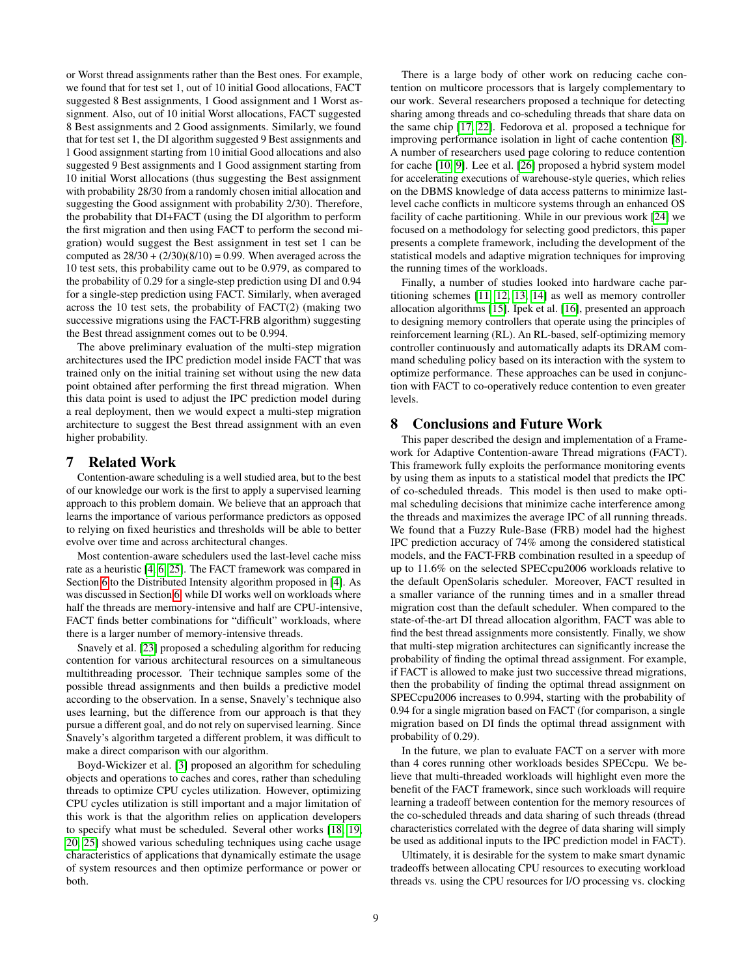or Worst thread assignments rather than the Best ones. For example, we found that for test set 1, out of 10 initial Good allocations, FACT suggested 8 Best assignments, 1 Good assignment and 1 Worst assignment. Also, out of 10 initial Worst allocations, FACT suggested 8 Best assignments and 2 Good assignments. Similarly, we found that for test set 1, the DI algorithm suggested 9 Best assignments and 1 Good assignment starting from 10 initial Good allocations and also suggested 9 Best assignments and 1 Good assignment starting from 10 initial Worst allocations (thus suggesting the Best assignment with probability 28/30 from a randomly chosen initial allocation and suggesting the Good assignment with probability 2/30). Therefore, the probability that DI+FACT (using the DI algorithm to perform the first migration and then using FACT to perform the second migration) would suggest the Best assignment in test set 1 can be computed as  $28/30 + (2/30)(8/10) = 0.99$ . When averaged across the 10 test sets, this probability came out to be 0.979, as compared to the probability of 0.29 for a single-step prediction using DI and 0.94 for a single-step prediction using FACT. Similarly, when averaged across the 10 test sets, the probability of FACT(2) (making two successive migrations using the FACT-FRB algorithm) suggesting the Best thread assignment comes out to be 0.994.

The above preliminary evaluation of the multi-step migration architectures used the IPC prediction model inside FACT that was trained only on the initial training set without using the new data point obtained after performing the first thread migration. When this data point is used to adjust the IPC prediction model during a real deployment, then we would expect a multi-step migration architecture to suggest the Best thread assignment with an even higher probability.

## <span id="page-8-0"></span>7 Related Work

Contention-aware scheduling is a well studied area, but to the best of our knowledge our work is the first to apply a supervised learning approach to this problem domain. We believe that an approach that learns the importance of various performance predictors as opposed to relying on fixed heuristics and thresholds will be able to better evolve over time and across architectural changes.

Most contention-aware schedulers used the last-level cache miss rate as a heuristic [\[4,](#page-9-11) [6,](#page-9-13) [25\]](#page-9-14). The FACT framework was compared in Section [6](#page-6-0) to the Distributed Intensity algorithm proposed in [\[4\]](#page-9-11). As was discussed in Section [6,](#page-6-0) while DI works well on workloads where half the threads are memory-intensive and half are CPU-intensive, FACT finds better combinations for "difficult" workloads, where there is a larger number of memory-intensive threads.

Snavely et al. [\[23\]](#page-9-25) proposed a scheduling algorithm for reducing contention for various architectural resources on a simultaneous multithreading processor. Their technique samples some of the possible thread assignments and then builds a predictive model according to the observation. In a sense, Snavely's technique also uses learning, but the difference from our approach is that they pursue a different goal, and do not rely on supervised learning. Since Snavely's algorithm targeted a different problem, it was difficult to make a direct comparison with our algorithm.

Boyd-Wickizer et al. [\[3\]](#page-9-1) proposed an algorithm for scheduling objects and operations to caches and cores, rather than scheduling threads to optimize CPU cycles utilization. However, optimizing CPU cycles utilization is still important and a major limitation of this work is that the algorithm relies on application developers to specify what must be scheduled. Several other works [\[18,](#page-9-26) [19,](#page-9-27) [20,](#page-9-28) [25\]](#page-9-14) showed various scheduling techniques using cache usage characteristics of applications that dynamically estimate the usage of system resources and then optimize performance or power or both.

There is a large body of other work on reducing cache contention on multicore processors that is largely complementary to our work. Several researchers proposed a technique for detecting sharing among threads and co-scheduling threads that share data on the same chip [\[17,](#page-9-29) [22\]](#page-9-30). Fedorova et al. proposed a technique for improving performance isolation in light of cache contention [\[8\]](#page-9-31). A number of researchers used page coloring to reduce contention for cache [\[10,](#page-9-32) [9\]](#page-9-33). Lee et al. [\[26\]](#page-9-34) proposed a hybrid system model for accelerating executions of warehouse-style queries, which relies on the DBMS knowledge of data access patterns to minimize lastlevel cache conflicts in multicore systems through an enhanced OS facility of cache partitioning. While in our previous work [\[24\]](#page-9-15) we focused on a methodology for selecting good predictors, this paper presents a complete framework, including the development of the statistical models and adaptive migration techniques for improving the running times of the workloads.

Finally, a number of studies looked into hardware cache partitioning schemes [\[11,](#page-9-35) [12,](#page-9-36) [13,](#page-9-37) [14\]](#page-9-38) as well as memory controller allocation algorithms [\[15\]](#page-9-39). Ipek et al. [\[16\]](#page-9-40), presented an approach to designing memory controllers that operate using the principles of reinforcement learning (RL). An RL-based, self-optimizing memory controller continuously and automatically adapts its DRAM command scheduling policy based on its interaction with the system to optimize performance. These approaches can be used in conjunction with FACT to co-operatively reduce contention to even greater levels.

## <span id="page-8-1"></span>8 Conclusions and Future Work

This paper described the design and implementation of a Framework for Adaptive Contention-aware Thread migrations (FACT). This framework fully exploits the performance monitoring events by using them as inputs to a statistical model that predicts the IPC of co-scheduled threads. This model is then used to make optimal scheduling decisions that minimize cache interference among the threads and maximizes the average IPC of all running threads. We found that a Fuzzy Rule-Base (FRB) model had the highest IPC prediction accuracy of 74% among the considered statistical models, and the FACT-FRB combination resulted in a speedup of up to 11.6% on the selected SPECcpu2006 workloads relative to the default OpenSolaris scheduler. Moreover, FACT resulted in a smaller variance of the running times and in a smaller thread migration cost than the default scheduler. When compared to the state-of-the-art DI thread allocation algorithm, FACT was able to find the best thread assignments more consistently. Finally, we show that multi-step migration architectures can significantly increase the probability of finding the optimal thread assignment. For example, if FACT is allowed to make just two successive thread migrations, then the probability of finding the optimal thread assignment on SPECcpu2006 increases to 0.994, starting with the probability of 0.94 for a single migration based on FACT (for comparison, a single migration based on DI finds the optimal thread assignment with probability of 0.29).

In the future, we plan to evaluate FACT on a server with more than 4 cores running other workloads besides SPECcpu. We believe that multi-threaded workloads will highlight even more the benefit of the FACT framework, since such workloads will require learning a tradeoff between contention for the memory resources of the co-scheduled threads and data sharing of such threads (thread characteristics correlated with the degree of data sharing will simply be used as additional inputs to the IPC prediction model in FACT).

Ultimately, it is desirable for the system to make smart dynamic tradeoffs between allocating CPU resources to executing workload threads vs. using the CPU resources for I/O processing vs. clocking